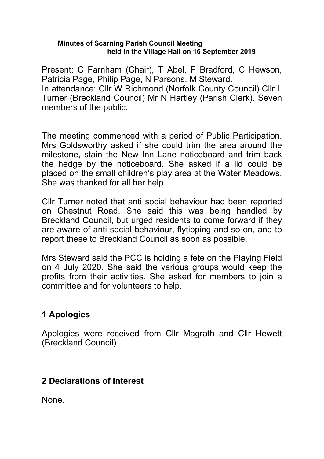#### **Minutes of Scarning Parish Council Meeting held in the Village Hall on 16 September 2019**

Present: C Farnham (Chair), T Abel, F Bradford, C Hewson, Patricia Page, Philip Page, N Parsons, M Steward. In attendance: Cllr W Richmond (Norfolk County Council) Cllr L Turner (Breckland Council) Mr N Hartley (Parish Clerk). Seven members of the public.

The meeting commenced with a period of Public Participation. Mrs Goldsworthy asked if she could trim the area around the milestone, stain the New Inn Lane noticeboard and trim back the hedge by the noticeboard. She asked if a lid could be placed on the small children's play area at the Water Meadows. She was thanked for all her help.

Cllr Turner noted that anti social behaviour had been reported on Chestnut Road. She said this was being handled by Breckland Council, but urged residents to come forward if they are aware of anti social behaviour, flytipping and so on, and to report these to Breckland Council as soon as possible.

Mrs Steward said the PCC is holding a fete on the Playing Field on 4 July 2020. She said the various groups would keep the profits from their activities. She asked for members to join a committee and for volunteers to help.

# **1 Apologies**

Apologies were received from Cllr Magrath and Cllr Hewett (Breckland Council).

# **2 Declarations of Interest**

None.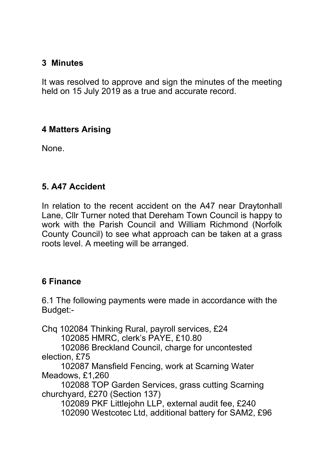### **3 Minutes**

It was resolved to approve and sign the minutes of the meeting held on 15 July 2019 as a true and accurate record.

# **4 Matters Arising**

None.

## **5. A47 Accident**

In relation to the recent accident on the A47 near Draytonhall Lane, Cllr Turner noted that Dereham Town Council is happy to work with the Parish Council and William Richmond (Norfolk County Council) to see what approach can be taken at a grass roots level. A meeting will be arranged.

#### **6 Finance**

6.1 The following payments were made in accordance with the Budget:-

Chq 102084 Thinking Rural, payroll services, £24 102085 HMRC, clerk's PAYE, £10.80

 102086 Breckland Council, charge for uncontested election, £75

 102087 Mansfield Fencing, work at Scarning Water Meadows, £1,260

 102088 TOP Garden Services, grass cutting Scarning churchyard, £270 (Section 137)

 102089 PKF Littlejohn LLP, external audit fee, £240 102090 Westcotec Ltd, additional battery for SAM2, £96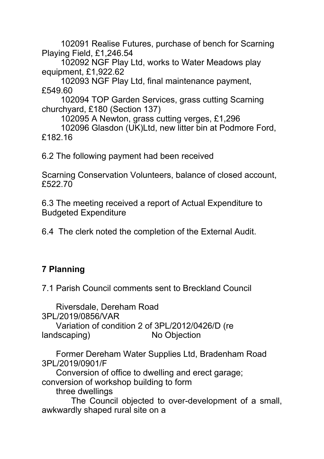102091 Realise Futures, purchase of bench for Scarning Playing Field, £1,246.54

 102092 NGF Play Ltd, works to Water Meadows play equipment, £1,922.62

 102093 NGF Play Ltd, final maintenance payment, £549.60

 102094 TOP Garden Services, grass cutting Scarning churchyard, £180 (Section 137)

102095 A Newton, grass cutting verges, £1,296

 102096 Glasdon (UK)Ltd, new litter bin at Podmore Ford, £182.16

6.2 The following payment had been received

Scarning Conservation Volunteers, balance of closed account, £522.70

6.3 The meeting received a report of Actual Expenditure to Budgeted Expenditure

6.4 The clerk noted the completion of the External Audit.

# **7 Planning**

7.1 Parish Council comments sent to Breckland Council

 Riversdale, Dereham Road 3PL/2019/0856/VAR

 Variation of condition 2 of 3PL/2012/0426/D (re landscaping) No Objection

 Former Dereham Water Supplies Ltd, Bradenham Road 3PL/2019/0901/F

 Conversion of office to dwelling and erect garage; conversion of workshop building to form

three dwellings

 The Council objected to over-development of a small, awkwardly shaped rural site on a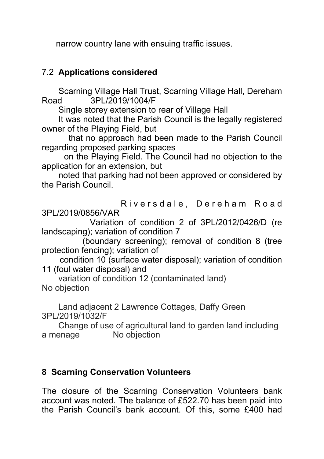narrow country lane with ensuing traffic issues.

# 7.2 **Applications considered**

 Scarning Village Hall Trust, Scarning Village Hall, Dereham Road 3PL/2019/1004/F

Single storey extension to rear of Village Hall

 It was noted that the Parish Council is the legally registered owner of the Playing Field, but

 that no approach had been made to the Parish Council regarding proposed parking spaces

 on the Playing Field. The Council had no objection to the application for an extension, but

 noted that parking had not been approved or considered by the Parish Council.

Riversdale, Dereham Road 3PL/2019/0856/VAR

 Variation of condition 2 of 3PL/2012/0426/D (re landscaping); variation of condition 7

 (boundary screening); removal of condition 8 (tree protection fencing); variation of

 condition 10 (surface water disposal); variation of condition 11 (foul water disposal) and

 variation of condition 12 (contaminated land) No objection

 Land adjacent 2 Lawrence Cottages, Daffy Green 3PL/2019/1032/F

 Change of use of agricultural land to garden land including a menage No objection

# **8 Scarning Conservation Volunteers**

The closure of the Scarning Conservation Volunteers bank account was noted. The balance of £522.70 has been paid into the Parish Council's bank account. Of this, some £400 had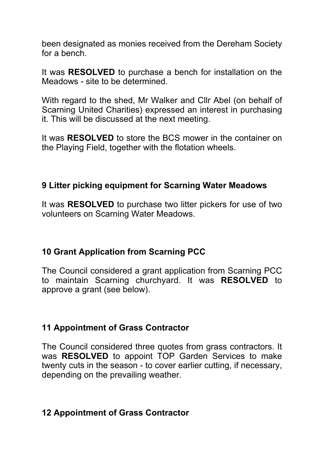been designated as monies received from the Dereham Society for a bench.

It was **RESOLVED** to purchase a bench for installation on the Meadows - site to be determined.

With regard to the shed, Mr Walker and Cllr Abel (on behalf of Scarning United Charities) expressed an interest in purchasing it. This will be discussed at the next meeting.

It was **RESOLVED** to store the BCS mower in the container on the Playing Field, together with the flotation wheels.

#### **9 Litter picking equipment for Scarning Water Meadows**

It was **RESOLVED** to purchase two litter pickers for use of two volunteers on Scarning Water Meadows.

#### **10 Grant Application from Scarning PCC**

The Council considered a grant application from Scarning PCC to maintain Scarning churchyard. It was **RESOLVED** to approve a grant (see below).

#### **11 Appointment of Grass Contractor**

The Council considered three quotes from grass contractors. It was **RESOLVED** to appoint TOP Garden Services to make twenty cuts in the season - to cover earlier cutting, if necessary, depending on the prevailing weather.

# **12 Appointment of Grass Contractor**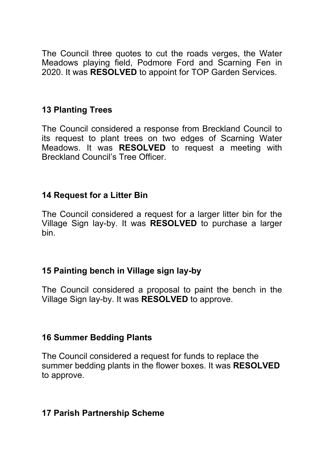The Council three quotes to cut the roads verges, the Water Meadows playing field, Podmore Ford and Scarning Fen in 2020. It was **RESOLVED** to appoint for TOP Garden Services.

## **13 Planting Trees**

The Council considered a response from Breckland Council to its request to plant trees on two edges of Scarning Water Meadows. It was **RESOLVED** to request a meeting with Breckland Council's Tree Officer.

#### **14 Request for a Litter Bin**

The Council considered a request for a larger litter bin for the Village Sign lay-by. It was **RESOLVED** to purchase a larger bin.

#### **15 Painting bench in Village sign lay-by**

The Council considered a proposal to paint the bench in the Village Sign lay-by. It was **RESOLVED** to approve.

#### **16 Summer Bedding Plants**

The Council considered a request for funds to replace the summer bedding plants in the flower boxes. It was **RESOLVED** to approve.

#### **17 Parish Partnership Scheme**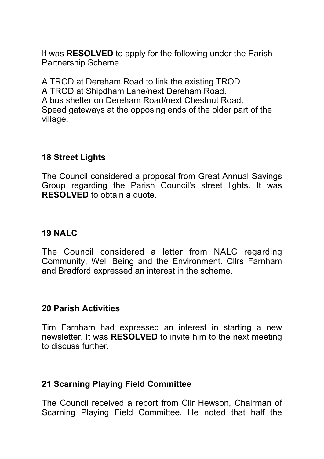It was **RESOLVED** to apply for the following under the Parish Partnership Scheme.

A TROD at Dereham Road to link the existing TROD. A TROD at Shipdham Lane/next Dereham Road. A bus shelter on Dereham Road/next Chestnut Road. Speed gateways at the opposing ends of the older part of the village.

#### **18 Street Lights**

The Council considered a proposal from Great Annual Savings Group regarding the Parish Council's street lights. It was **RESOLVED** to obtain a quote.

### **19 NALC**

The Council considered a letter from NALC regarding Community, Well Being and the Environment. Cllrs Farnham and Bradford expressed an interest in the scheme.

#### **20 Parish Activities**

Tim Farnham had expressed an interest in starting a new newsletter. It was **RESOLVED** to invite him to the next meeting to discuss further.

# **21 Scarning Playing Field Committee**

The Council received a report from Cllr Hewson, Chairman of Scarning Playing Field Committee. He noted that half the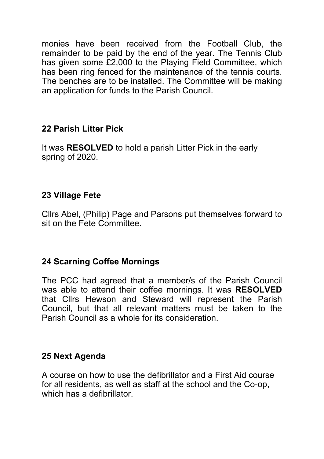monies have been received from the Football Club, the remainder to be paid by the end of the year. The Tennis Club has given some £2,000 to the Playing Field Committee, which has been ring fenced for the maintenance of the tennis courts. The benches are to be installed. The Committee will be making an application for funds to the Parish Council.

## **22 Parish Litter Pick**

It was **RESOLVED** to hold a parish Litter Pick in the early spring of 2020.

# **23 Village Fete**

Cllrs Abel, (Philip) Page and Parsons put themselves forward to sit on the Fete Committee.

# **24 Scarning Coffee Mornings**

The PCC had agreed that a member/s of the Parish Council was able to attend their coffee mornings. It was **RESOLVED** that Cllrs Hewson and Steward will represent the Parish Council, but that all relevant matters must be taken to the Parish Council as a whole for its consideration.

#### **25 Next Agenda**

A course on how to use the defibrillator and a First Aid course for all residents, as well as staff at the school and the Co-op, which has a defibrillator.